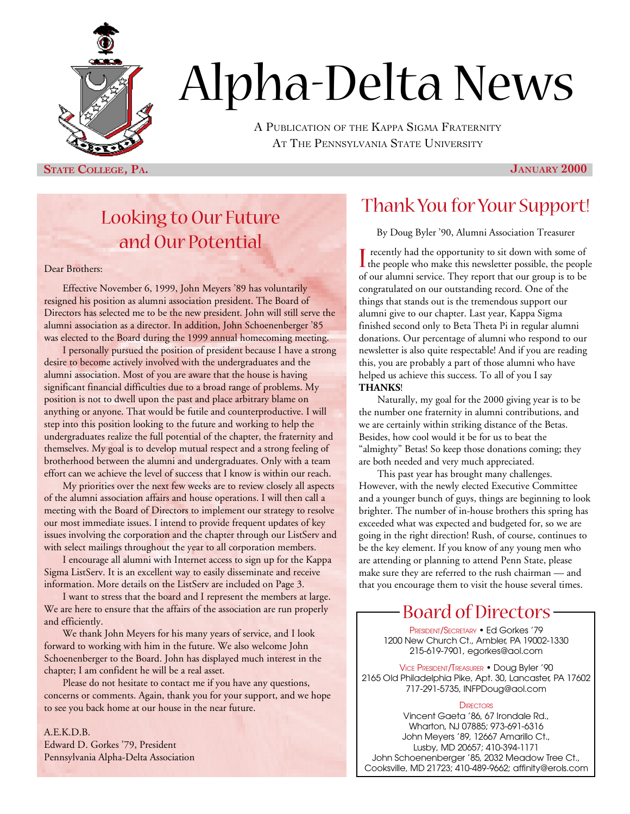

# Alpha-Delta News

A PUBLICATION OF THE KAPPA SIGMA FRATERNITY AT THE PENNSYLVANIA STATE UNIVERSITY

**STATE COLLEGE, PA. JANUARY 2000**

## Looking to Our Future and Our Potential

#### Dear Brothers:

Effective November 6, 1999, John Meyers '89 has voluntarily resigned his position as alumni association president. The Board of Directors has selected me to be the new president. John will still serve the alumni association as a director. In addition, John Schoenenberger '85 was elected to the Board during the 1999 annual homecoming meeting.

I personally pursued the position of president because I have a strong desire to become actively involved with the undergraduates and the alumni association. Most of you are aware that the house is having significant financial difficulties due to a broad range of problems. My position is not to dwell upon the past and place arbitrary blame on anything or anyone. That would be futile and counterproductive. I will step into this position looking to the future and working to help the undergraduates realize the full potential of the chapter, the fraternity and themselves. My goal is to develop mutual respect and a strong feeling of brotherhood between the alumni and undergraduates. Only with a team effort can we achieve the level of success that I know is within our reach.

My priorities over the next few weeks are to review closely all aspects of the alumni association affairs and house operations. I will then call a meeting with the Board of Directors to implement our strategy to resolve our most immediate issues. I intend to provide frequent updates of key issues involving the corporation and the chapter through our ListServ and with select mailings throughout the year to all corporation members.

I encourage all alumni with Internet access to sign up for the Kappa Sigma ListServ. It is an excellent way to easily disseminate and receive information. More details on the ListServ are included on Page 3.

I want to stress that the board and I represent the members at large. We are here to ensure that the affairs of the association are run properly and efficiently.

We thank John Meyers for his many years of service, and I look forward to working with him in the future. We also welcome John Schoenenberger to the Board. John has displayed much interest in the chapter; I am confident he will be a real asset.

Please do not hesitate to contact me if you have any questions, concerns or comments. Again, thank you for your support, and we hope to see you back home at our house in the near future.

A.E.K.D.B. Edward D. Gorkes '79, President Pennsylvania Alpha-Delta Association

#### Thank You for Your Support!

By Doug Byler '90, Alumni Association Treasurer

I recently had the opportunity to sit down with some of<br>the people who make this newsletter possible, the people recently had the opportunity to sit down with some of of our alumni service. They report that our group is to be congratulated on our outstanding record. One of the things that stands out is the tremendous support our alumni give to our chapter. Last year, Kappa Sigma finished second only to Beta Theta Pi in regular alumni donations. Our percentage of alumni who respond to our newsletter is also quite respectable! And if you are reading this, you are probably a part of those alumni who have helped us achieve this success. To all of you I say **THANKS**!

Naturally, my goal for the 2000 giving year is to be the number one fraternity in alumni contributions, and we are certainly within striking distance of the Betas. Besides, how cool would it be for us to beat the "almighty" Betas! So keep those donations coming; they are both needed and very much appreciated.

This past year has brought many challenges. However, with the newly elected Executive Committee and a younger bunch of guys, things are beginning to look brighter. The number of in-house brothers this spring has exceeded what was expected and budgeted for, so we are going in the right direction! Rush, of course, continues to be the key element. If you know of any young men who are attending or planning to attend Penn State, please make sure they are referred to the rush chairman — and that you encourage them to visit the house several times.

#### Board of Directors

PRESIDENT/SECRETARY • Ed Gorkes '79 1200 New Church Ct., Ambler, PA 19002-1330 215-619-7901, egorkes@aol.com

VICE PRESIDENT/TREASURER • Doug Byler '90 2165 Old Philadelphia Pike, Apt. 30, Lancaster, PA 17602 717-291-5735, INFPDoug@aol.com

#### **DIRECTORS**

Vincent Gaeta '86, 67 Irondale Rd., Wharton, NJ 07885; 973-691-6316 John Meyers '89, 12667 Amarillo Ct., Lusby, MD 20657; 410-394-1171 John Schoenenberger '85, 2032 Meadow Tree Ct., Cooksville, MD 21723; 410-489-9662; affinity@erols.com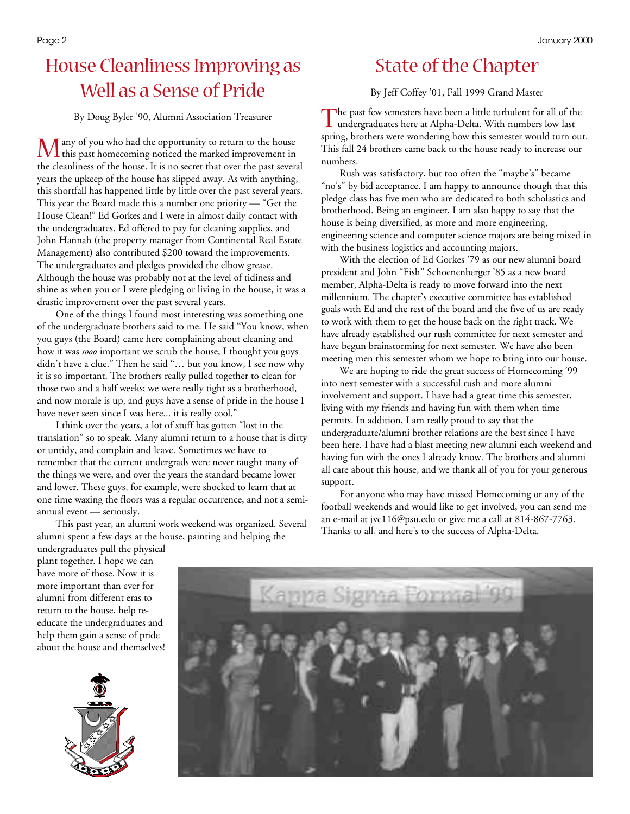## House Cleanliness Improving as Well as a Sense of Pride

By Doug Byler '90, Alumni Association Treasurer

 $\bm{M}$  any of you who had the opportunity to return to the house<br>this past homecoming noticed the marked improvement in any of you who had the opportunity to return to the house the cleanliness of the house. It is no secret that over the past several years the upkeep of the house has slipped away. As with anything, this shortfall has happened little by little over the past several years. This year the Board made this a number one priority — "Get the House Clean!" Ed Gorkes and I were in almost daily contact with the undergraduates. Ed offered to pay for cleaning supplies, and John Hannah (the property manager from Continental Real Estate Management) also contributed \$200 toward the improvements. The undergraduates and pledges provided the elbow grease. Although the house was probably not at the level of tidiness and shine as when you or I were pledging or living in the house, it was a drastic improvement over the past several years.

One of the things I found most interesting was something one of the undergraduate brothers said to me. He said "You know, when you guys (the Board) came here complaining about cleaning and how it was *sooo* important we scrub the house, I thought you guys didn't have a clue." Then he said "… but you know, I see now why it is so important. The brothers really pulled together to clean for those two and a half weeks; we were really tight as a brotherhood, and now morale is up, and guys have a sense of pride in the house I have never seen since I was here... it is really cool."

I think over the years, a lot of stuff has gotten "lost in the translation" so to speak. Many alumni return to a house that is dirty or untidy, and complain and leave. Sometimes we have to remember that the current undergrads were never taught many of the things we were, and over the years the standard became lower and lower. These guys, for example, were shocked to learn that at one time waxing the floors was a regular occurrence, and not a semiannual event — seriously.

This past year, an alumni work weekend was organized. Several alumni spent a few days at the house, painting and helping the

## State of the Chapter

By Jeff Coffey '01, Fall 1999 Grand Master

The past few semesters have been a little turbulent for all of the undergraduates here at Alpha-Delta. With numbers low last undergraduates here at Alpha-Delta. With numbers low last spring, brothers were wondering how this semester would turn out. This fall 24 brothers came back to the house ready to increase our numbers.

Rush was satisfactory, but too often the "maybe's" became "no's" by bid acceptance. I am happy to announce though that this pledge class has five men who are dedicated to both scholastics and brotherhood. Being an engineer, I am also happy to say that the house is being diversified, as more and more engineering, engineering science and computer science majors are being mixed in with the business logistics and accounting majors.

With the election of Ed Gorkes '79 as our new alumni board president and John "Fish" Schoenenberger '85 as a new board member, Alpha-Delta is ready to move forward into the next millennium. The chapter's executive committee has established goals with Ed and the rest of the board and the five of us are ready to work with them to get the house back on the right track. We have already established our rush committee for next semester and have begun brainstorming for next semester. We have also been meeting men this semester whom we hope to bring into our house.

We are hoping to ride the great success of Homecoming '99 into next semester with a successful rush and more alumni involvement and support. I have had a great time this semester, living with my friends and having fun with them when time permits. In addition, I am really proud to say that the undergraduate/alumni brother relations are the best since I have been here. I have had a blast meeting new alumni each weekend and having fun with the ones I already know. The brothers and alumni all care about this house, and we thank all of you for your generous support.

For anyone who may have missed Homecoming or any of the football weekends and would like to get involved, you can send me an e-mail at jvc116@psu.edu or give me a call at 814-867-7763. Thanks to all, and here's to the success of Alpha-Delta.

undergraduates pull the physical plant together. I hope we can have more of those. Now it is more important than ever for alumni from different eras to return to the house, help reeducate the undergraduates and help them gain a sense of pride about the house and themselves!



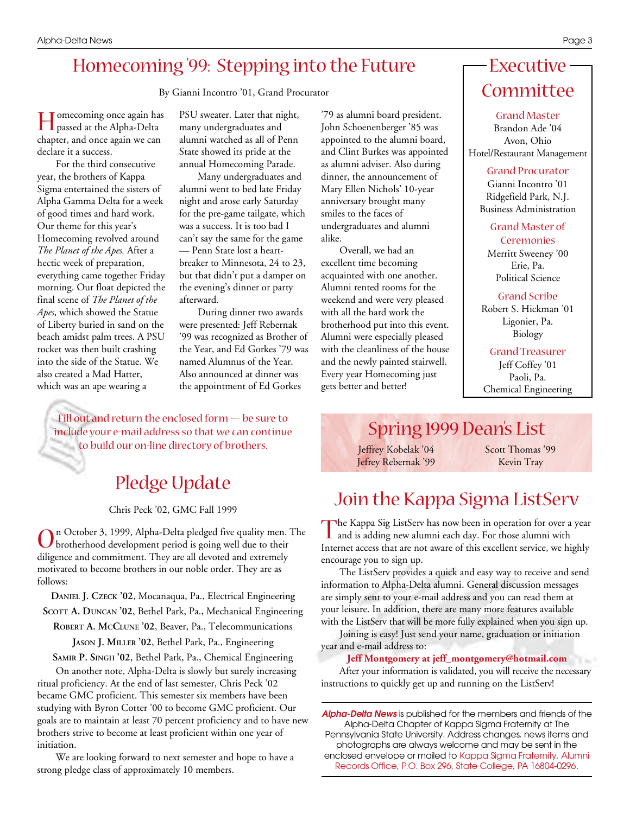### Homecoming '99: Stepping into the Future

By Gianni Incontro '01, Grand Procurator

H passed at the Alpha-Delta omecoming once again has chapter, and once again we can declare it a success.

For the third consecutive year, the brothers of Kappa Sigma entertained the sisters of Alpha Gamma Delta for a week of good times and hard work. Our theme for this year's Homecoming revolved around *The Planet of the Apes.* After a hectic week of preparation, everything came together Friday morning. Our float depicted the final scene of *The Planet of the Apes*, which showed the Statue of Liberty buried in sand on the beach amidst palm trees. A PSU rocket was then built crashing into the side of the Statue. We also created a Mad Hatter, which was an ape wearing a

PSU sweater. Later that night, many undergraduates and alumni watched as all of Penn State showed its pride at the annual Homecoming Parade.

Many undergraduates and alumni went to bed late Friday night and arose early Saturday for the pre-game tailgate, which was a success. It is too bad I can't say the same for the game — Penn State lost a heartbreaker to Minnesota, 24 to 23, but that didn't put a damper on the evening's dinner or party afterward.

During dinner two awards were presented: Jeff Rebernak '99 was recognized as Brother of the Year, and Ed Gorkes '79 was named Alumnus of the Year. Also announced at dinner was the appointment of Ed Gorkes

Fill out and return the enclosed form — be sure to include your e-mail address so that we can continue to build our on-line directory of brothers.

## Pledge Update

Chris Peck '02, GMC Fall 1999

On October 3, 1999, Alpha-Delta pledged five quality men.<br>
brotherhood development period is going well due to their n October 3, 1999, Alpha-Delta pledged five quality men. The diligence and commitment. They are all devoted and extremely motivated to become brothers in our noble order. They are as follows:

**DANIEL J. CZECK '02**, Mocanaqua, Pa., Electrical Engineering **SCOTT A. DUNCAN '02**, Bethel Park, Pa., Mechanical Engineering

**ROBERT A. MCCLUNE '02**, Beaver, Pa., Telecommunications

**JASON J. MILLER '02**, Bethel Park, Pa., Engineering

**SAMIR P. SINGH '02**, Bethel Park, Pa., Chemical Engineering On another note, Alpha-Delta is slowly but surely increasing ritual proficiency. At the end of last semester, Chris Peck '02 became GMC proficient. This semester six members have been studying with Byron Cotter '00 to become GMC proficient. Our goals are to maintain at least 70 percent proficiency and to have new brothers strive to become at least proficient within one year of initiation.

We are looking forward to next semester and hope to have a strong pledge class of approximately 10 members.

'79 as alumni board president. John Schoenenberger '85 was appointed to the alumni board, and Clint Burkes was appointed as alumni adviser. Also during dinner, the announcement of Mary Ellen Nichols' 10-year anniversary brought many smiles to the faces of undergraduates and alumni alike.

Overall, we had an excellent time becoming acquainted with one another. Alumni rented rooms for the weekend and were very pleased with all the hard work the brotherhood put into this event. Alumni were especially pleased with the cleanliness of the house and the newly painted stairwell. Every year Homecoming just gets better and better!

## Executive Committee

Grand Master Brandon Ade '04 Avon, Ohio Hotel/Restaurant Management

Grand Procurator

Gianni Incontro '01 Ridgefield Park, N.J. Business Administration

Grand Master of Ceremonies

Merritt Sweeney '00 Erie, Pa. Political Science

#### Grand Scribe

Robert S. Hickman '01 Ligonier, Pa. Biology

Grand Treasurer Jeff Coffey '01 Paoli, Pa. Chemical Engineering

#### Spring 1999 Dean's List

Jeffrey Kobelak '04 Jefrey Rebernak '99 Scott Thomas '99 Kevin Tray

## Join the Kappa Sigma ListServ

The Kappa Sig ListServ has now been in operation for over a and is adding new alumni each day. For those alumni with **The Kappa Sig ListServ has now been in operation for over a year** Internet access that are not aware of this excellent service, we highly encourage you to sign up.

The ListServ provides a quick and easy way to receive and send information to Alpha-Delta alumni. General discussion messages are simply sent to your e-mail address and you can read them at your leisure. In addition, there are many more features available with the ListServ that will be more fully explained when you sign up.

Joining is easy! Just send your name, graduation or initiation year and e-mail address to:

**Jeff Montgomery at jeff\_montgomery@hotmail.com**

After your information is validated, you will receive the necessary instructions to quickly get up and running on the ListServ!

*Alpha-Delta News* is published for the members and friends of the Alpha-Delta Chapter of Kappa Sigma Fraternity at The Pennsylvania State University. Address changes, news items and photographs are always welcome and may be sent in the

enclosed envelope or mailed to Kappa Sigma Fraternity, Alumni Records Office, P.O. Box 296, State College, PA 16804-0296.